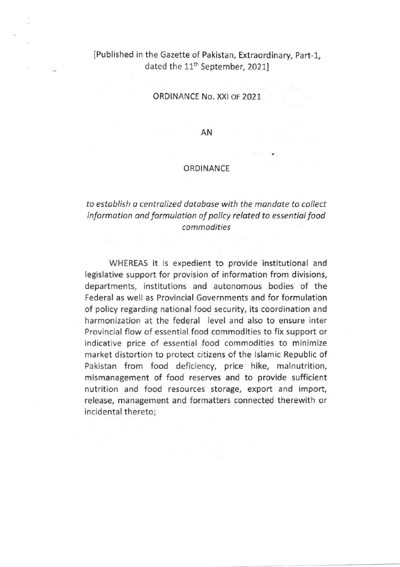## IPublished in the Gazette of Paklstan, Extraordinary, part-1, dated the 11<sup>th</sup> September, 2021]

ORDINANCE No. XXI oF 2021

AN

## ORDINANCE

## to estoblish o centrolized dotobose with the mandote to collect information and formulation of policy related to essential food commodities

WHEREAS it is expedient to provide institutional and legislative support for provision of information from divisions, departments, institutions and autonomous bodies of the Federal as well as Provincial Governments and for formulation of policy regarding national food security, its coordination and harmonization at the federal level and also to ensure inter Provincial flow of essential food commodities to fix support or indicative price of essential food commodities to minimize market distortion to protect citizens of the lslamic Republic of Pakistan from food deficiency, price hike, malnutrition, mismanagement of food reserves and to provide sufficient nutrition and food resources storage, export and import, release, management and formatters connected therewith or incidental thereto;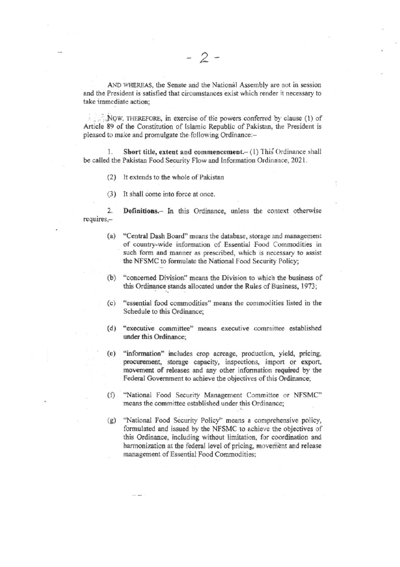AND WHEREAS, the Senate and the National Assembly are not in session and the President is satisfied that circumstances exist which render it necessary to take immediate action:

NOW, THEREFORE, in exercise of the powers conferred by clause (1) of Article 89 of the Constitution of Islamic Republic of Pakistan, the President is pleased to make and promulgate the following Ordinance:-

Short title, extent and commencement.- (1) This Ordinance shall 1. be called the Pakistan Food Security Flow and Information Ordinance, 2021.

- It extends to the whole of Pakistan  $(2)$
- $(3)$ It shall come into force at once.

 $2.$ Definitions.- In this Ordinance, unless the context otherwise requires,-

- "Central Dash Board" means the database, storage and management  $(a)$ of country-wide information of Essential Food Commodities in such form and manner as prescribed, which is necessary to assist the NFSMC to formulate the National Food Security Policy;
- "concerned Division" means the Division to which the business of  $(b)$ this Ordinance stands allocated under the Rules of Business, 1973;
- "essential food commodities" means the commodities listed in the  $(c)$ Schedule to this Ordinance;
- (d) "executive committee" means executive committee established under this Ordinance;
- "information" includes crop acreage, production, yield, pricing,  $(e)$ procurement, storage capacity, inspections, import or export, movement of releases and any other information required by the Federal Government to achieve the objectives of this Ordinance;
- "National Food Security Management Committee or NFSMC"  $(f)$ means the committee established under this Ordinance;
- "National Food Security Policy" means a comprehensive policy,  $(g)$ formulated and issued by the NFSMC to achieve the objectives of this Ordinance, including without limitation, for coordination and harmonization at the federal level of pricing, movement and release management of Essential Food Commodities;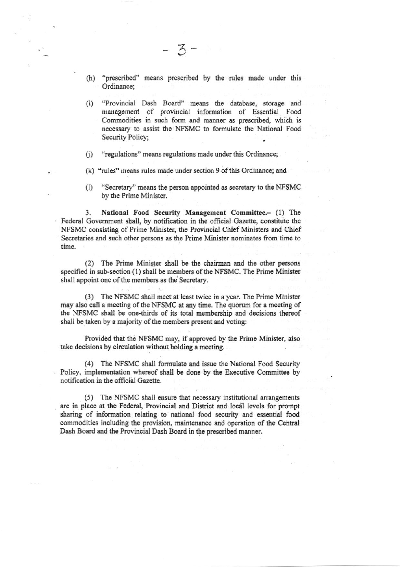"prescribed" means prescribed by the rules made under this  $(h)$ Ordinance:

 $-3-$ 

- "Provincial Dash Board" means the database, storage and  $(i)$ management of provincial information of Essential Food Commodities in such form and manner as prescribed, which is necessary to assist the NFSMC to formulate the National Food Security Policy;
- "regulations" means regulations made under this Ordinance;  $(i)$
- (k) "rules" means rules made under section 9 of this Ordinance; and
- "Secretary" means the person appointed as secretary to the NFSMC  $(1)$ by the Prime Minister.

National Food Security Management Committee.- (1) The 3. Federal Government shall, by notification in the official Gazette, constitute the NFSMC consisting of Prime Minister, the Provincial Chief Ministers and Chief Secretaries and such other persons as the Prime Minister nominates from time to time.

(2) The Prime Minister shall be the chairman and the other persons specified in sub-section (1) shall be members of the NFSMC. The Prime Minister shall appoint one of the members as the Secretary.

(3) The NFSMC shall meet at least twice in a year. The Prime Minister may also call a meeting of the NFSMC at any time. The quorum for a meeting of the NFSMC shall be one-thirds of its total membership and decisions thereof shall be taken by a majority of the members present and voting:

Provided that the NFSMC may, if approved by the Prime Minister, also take decisions by circulation without holding a meeting.

(4) The NFSMC shall formulate and issue the National Food Security Policy, implementation whereof shall be done by the Executive Committee by notification in the official Gazette.

(5) The NFSMC shall ensure that necessary institutional arrangements are in place at the Federal, Provincial and District and local levels for prompt sharing of information relating to national food security and essential food commodities including the provision, maintenance and operation of the Central Dash Board and the Provincial Dash Board in the prescribed manner.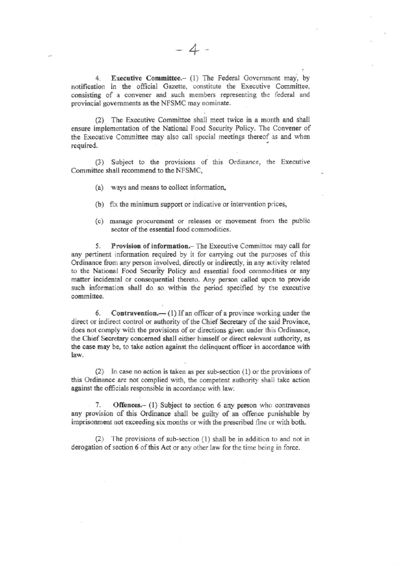Executive Committee.- (1) The Federal Government may, by  $4.$ notification in the official Gazette, constitute the Executive Committee, consisting of a convener and such members representing the federal and provincial governments as the NFSMC may nominate.

(2) The Executive Committee shall meet twice in a month and shall ensure implementation of the National Food Security Policy. The Convener of the Executive Committee may also call special meetings thereof as and when required.

(3) Subject to the provisions of this Ordinance, the Executive Committee shall recommend to the NFSMC,

- (a) ways and means to collect information,
- (b) fix the minimum support or indicative or intervention prices,
- (c) manage procurement or releases or movement from the public sector of the essential food commodities.

Provision of information. The Executive Committee may call for 5. any pertinent information required by it for carrying out the purposes of this Ordinance from any person involved, directly or indirectly, in any activity related to the National Food Security Policy and essential food commodities or any matter incidental or consequential thereto. Any person called upon to provide such information shall do so within the period specified by the executive committee.

Contravention.— (1) If an officer of a province working under the 6. direct or indirect control or authority of the Chief Secretary of the said Province, does not comply with the provisions of or directions given under this Ordinance, the Chief Secretary concerned shall either himself or direct relevant authority, as the case may be, to take action against the delinquent officer in accordance with law.

(2) In case no action is taken as per sub-section  $(1)$  or the provisions of this Ordinance are not complied with, the competent authority shall take action against the officials responsible in accordance with law.

7. Offences.- (1) Subject to section 6 any person who contravenes any provision of this Ordinance shall be guilty of an offence punishable by imprisonment not exceeding six months or with the prescribed fine or with both.

(2) The provisions of sub-section (1) shall be in addition to and not in derogation of section 6 of this Act or any other law for the time being in force.